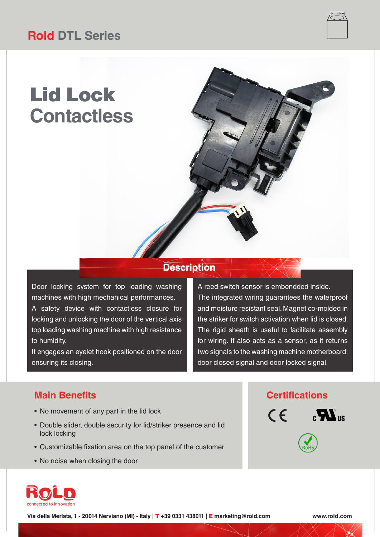## **Rold DTL Series**

# Lid Lock **Contactless**

### **Description**

Door locking system for top loading washing machines with high mechanical performances. A safety device with contactless closure for locking and unlocking the door of the vertical axis top loading washing machine with high resistance to humidity.

It engages an eyelet hook positioned on the door ensuring its closing.

A reed switch sensor is embendded inside. The integrated wiring guarantees the waterproof and moisture resistant seal. Magnet co-molded in the striker for switch activation when lid is closed. The rigid sheath is useful to facilitate assembly for wiring. It also acts as a sensor, as it returns two signals to the washing machine motherboard: door closed signal and door locked signal.

- No movement of any part in the lid lock
- Double slider, double security for lid/striker presence and lid lock locking
- Customizable fixation area on the top panel of the customer
- No noise when closing the door

### **Main Benefits Certifications**